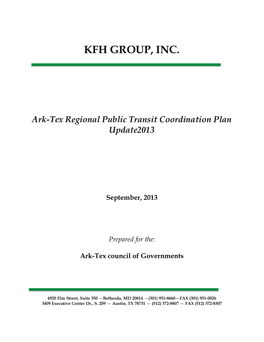# **KFH GROUP, INC.**

## *Ark-Tex Regional Public Transit Coordination Plan Update2013*

**September, 2013**

*Prepared for the:*

**Ark-Tex council of Governments**

**4920 Elm Street, Suite 350** —**Bethesda, MD 20814** —**(301) 951-8660**—**FAX (301) 951-0026 3409 Executive Center Dr., S. 209** — **Austin, TX 78731** — **(512) 372-8807** — **FAX (512) 372-8307**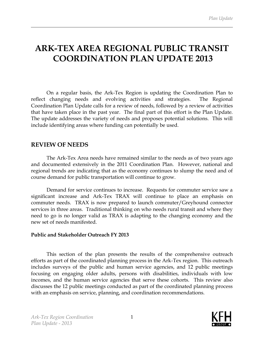## **ARK-TEX AREA REGIONAL PUBLIC TRANSIT COORDINATION PLAN UPDATE 2013**

On a regular basis, the Ark-Tex Region is updating the Coordination Plan to reflect changing needs and evolving activities and strategies. The Regional Coordination Plan Update calls for a review of needs, followed by a review of activities that have taken place in the past year. The final part of this effort is the Plan Update. The update addresses the variety of needs and proposes potential solutions. This will include identifying areas where funding can potentially be used.

## **REVIEW OF NEEDS**

The Ark-Tex Area needs have remained similar to the needs as of two years ago and documented extensively in the 2011 Coordination Plan. However, national and regional trends are indicating that as the economy continues to slump the need and of course demand for public transportation will continue to grow.

Demand for service continues to increase. Requests for commuter service saw a significant increase and Ark-Tex TRAX will continue to place an emphasis on commuter needs. TRAX is now prepared to launch commuter/Greyhound connector services in three areas. Traditional thinking on who needs rural transit and where they need to go is no longer valid as TRAX is adapting to the changing economy and the new set of needs manifested.

## **Public and Stakeholder Outreach FY 2013**

This section of the plan presents the results of the comprehensive outreach efforts as part of the coordinated planning process in the Ark-Tex region. This outreach includes surveys of the public and human service agencies, and 12 public meetings focusing on engaging older adults, persons with disabilities, individuals with low incomes, and the human service agencies that serve these cohorts. This review also discusses the 12 public meetings conducted as part of the coordinated planning process with an emphasis on service, planning, and coordination recommendations.

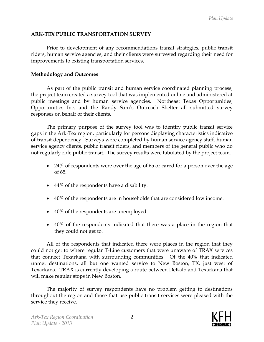## **ARK-TEX PUBLIC TRANSPORTATION SURVEY**

Prior to development of any recommendations transit strategies, public transit riders, human service agencies, and their clients were surveyed regarding their need for improvements to existing transportation services.

#### **Methodology and Outcomes**

As part of the public transit and human service coordinated planning process, the project team created a survey tool that was implemented online and administered at public meetings and by human service agencies. Northeast Texas Opportunities, Opportunities Inc. and the Randy Sam's Outreach Shelter all submitted survey responses on behalf of their clients.

The primary purpose of the survey tool was to identify public transit service gaps in the Ark-Tex region, particularly for persons displaying characteristics indicative of transit dependency. Surveys were completed by human service agency staff, human service agency clients, public transit riders, and members of the general public who do not regularly ride public transit. The survey results were tabulated by the project team.

- 24% of respondents were over the age of 65 or cared for a person over the age of 65.
- 44% of the respondents have a disability.
- 40% of the respondents are in households that are considered low income.
- 40% of the respondents are unemployed
- 40% of the respondents indicated that there was a place in the region that they could not get to.

All of the respondents that indicated there were places in the region that they could not get to where regular T-Line customers that were unaware of TRAX services that connect Texarkana with surrounding communities. Of the 40% that indicated unmet destinations, all but one wanted service to New Boston, TX, just west of Texarkana. TRAX is currently developing a route between DeKalb and Texarkana that will make regular stops in New Boston.

The majority of survey respondents have no problem getting to destinations throughout the region and those that use public transit services were pleased with the service they receive.

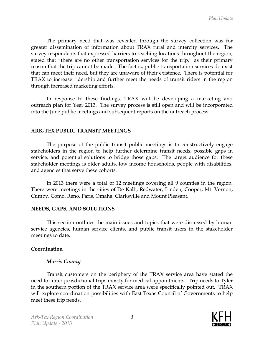The primary need that was revealed through the survey collection was for greater dissemination of information about TRAX rural and intercity services. The survey respondents that expressed barriers to reaching locations throughout the region, stated that "there are no other transportation services for the trip," as their primary reason that the trip cannot be made. The fact is, public transportation services do exist that can meet their need, but they are unaware of their existence. There is potential for TRAX to increase ridership and further meet the needs of transit riders in the region through increased marketing efforts.

In response to these findings, TRAX will be developing a marketing and outreach plan for Year 2013. The survey process is still open and will be incorporated into the June public meetings and subsequent reports on the outreach process.

#### **ARK-TEX PUBLIC TRANSIT MEETINGS**

The purpose of the public transit public meetings is to constructively engage stakeholders in the region to help further determine transit needs, possible gaps in service, and potential solutions to bridge those gaps. The target audience for these stakeholder meetings is older adults, low income households, people with disabilities, and agencies that serve these cohorts.

In 2013 there were a total of 12 meetings covering all 9 counties in the region. There were meetings in the cities of De Kalb, Redwater, Linden, Cooper, Mt. Vernon, Cumby, Como, Reno, Paris, Omaha, Clarksville and Mount Pleasant.

#### **NEEDS, GAPS, AND SOLUTIONS**

This section outlines the main issues and topics that were discussed by human service agencies, human service clients, and public transit users in the stakeholder meetings to date.

## **Coordination**

## *Morris County*

Transit customers on the periphery of the TRAX service area have stated the need for inter-jurisdictional trips mostly for medical appointments. Trip needs to Tyler in the southern portion of the TRAX service area were specifically pointed out. TRAX will explore coordination possibilities with East Texas Council of Governments to help meet these trip needs.

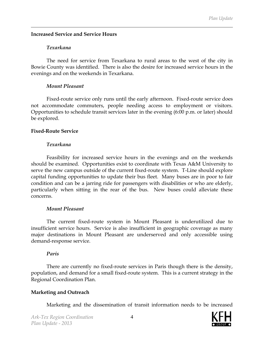## **Increased Service and Service Hours**

#### *Texarkana*

The need for service from Texarkana to rural areas to the west of the city in Bowie County was identified. There is also the desire for increased service hours in the evenings and on the weekends in Texarkana.

#### *Mount Pleasant*

Fixed-route service only runs until the early afternoon. Fixed-route service does not accommodate commuters, people needing access to employment or visitors. Opportunities to schedule transit services later in the evening (6:00 p.m. or later) should be explored.

#### **Fixed-Route Service**

#### *Texarkana*

Feasibility for increased service hours in the evenings and on the weekends should be examined. Opportunities exist to coordinate with Texas A&M University to serve the new campus outside of the current fixed-route system. T-Line should explore capital funding opportunities to update their bus fleet. Many buses are in poor to fair condition and can be a jarring ride for passengers with disabilities or who are elderly, particularly when sitting in the rear of the bus. New buses could alleviate these concerns.

## *Mount Pleasant*

The current fixed-route system in Mount Pleasant is underutilized due to insufficient service hours. Service is also insufficient in geographic coverage as many major destinations in Mount Pleasant are underserved and only accessible using demand-response service.

## *Paris*

There are currently no fixed-route services in Paris though there is the density, population, and demand for a small fixed-route system. This is a current strategy in the Regional Coordination Plan.

## **Marketing and Outreach**

Marketing and the dissemination of transit information needs to be increased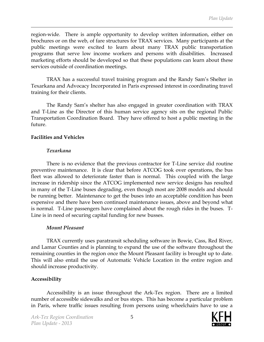region-wide. There is ample opportunity to develop written information, either on brochures or on the web, of fare structures for TRAX services. Many participants at the public meetings were excited to learn about many TRAX public transportation programs that serve low income workers and persons with disabilities. Increased marketing efforts should be developed so that these populations can learn about these services outside of coordination meetings.

TRAX has a successful travel training program and the Randy Sam's Shelter in Texarkana and Advocacy Incorporated in Paris expressed interest in coordinating travel training for their clients.

The Randy Sam's shelter has also engaged in greater coordination with TRAX and T-Line as the Director of this human service agency sits on the regional Public Transportation Coordination Board. They have offered to host a public meeting in the future.

#### **Facilities and Vehicles**

#### *Texarkana*

There is no evidence that the previous contractor for T-Line service did routine preventive maintenance. It is clear that before ATCOG took over operations, the bus fleet was allowed to deteriorate faster than is normal. This coupled with the large increase in ridership since the ATCOG implemented new service designs has resulted in many of the T-Line buses degrading, even though most are 2008 models and should be running better. Maintenance to get the buses into an acceptable condition has been expensive and there have been continued maintenance issues, above and beyond what is normal. T-Line passengers have complained about the rough rides in the buses. T-Line is in need of securing capital funding for new busses.

#### *Mount Pleasant*

TRAX currently uses paratransit scheduling software in Bowie, Cass, Red River, and Lamar Counties and is planning to expand the use of the software throughout the remaining counties in the region once the Mount Pleasant facility is brought up to date. This will also entail the use of Automatic Vehicle Location in the entire region and should increase productivity.

#### **Accessibility**

Accessibility is an issue throughout the Ark-Tex region. There are a limited number of accessible sidewalks and or bus stops. This has become a particular problem in Paris, where traffic issues resulting from persons using wheelchairs have to use a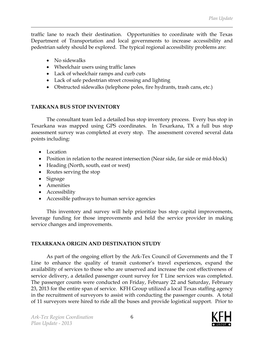traffic lane to reach their destination. Opportunities to coordinate with the Texas Department of Transportation and local governments to increase accessibility and pedestrian safety should be explored. The typical regional accessibility problems are:

- No sidewalks
- Wheelchair users using traffic lanes
- Lack of wheelchair ramps and curb cuts
- Lack of safe pedestrian street crossing and lighting
- Obstructed sidewalks (telephone poles, fire hydrants, trash cans, etc.)

## **TARKANA BUS STOP INVENTORY**

The consultant team led a detailed bus stop inventory process. Every bus stop in Texarkana was mapped using GPS coordinates. In Texarkana, TX a full bus stop assessment survey was completed at every stop. The assessment covered several data points including:

- Location
- Position in relation to the nearest intersection (Near side, far side or mid-block)
- Heading (North, south, east or west)
- Routes serving the stop
- Signage
- Amenities
- Accessibility
- Accessible pathways to human service agencies

This inventory and survey will help prioritize bus stop capital improvements, leverage funding for those improvements and held the service provider in making service changes and improvements.

## **TEXARKANA ORIGIN AND DESTINATION STUDY**

As part of the ongoing effort by the Ark-Tex Council of Governments and the T Line to enhance the quality of transit customer's travel experiences, expand the availability of services to those who are unserved and increase the cost effectiveness of service delivery, a detailed passenger count survey for T Line services was completed. The passenger counts were conducted on Friday, February 22 and Saturday, February 23, 2013 for the entire span of service. KFH Group utilized a local Texas staffing agency in the recruitment of surveyors to assist with conducting the passenger counts. A total of 11 surveyors were hired to ride all the buses and provide logistical support. Prior to

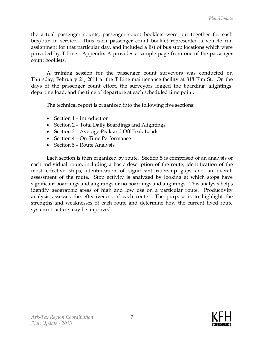the actual passenger counts, passenger count booklets were put together for each bus/run in service. Thus each passenger count booklet represented a vehicle run assignment for that particular day, and included a list of bus stop locations which were provided by T Line. Appendix A provides a sample page from one of the passenger count booklets.

A training session for the passenger count surveyors was conducted on Thursday, February 21, 2011 at the T Line maintenance facility at 818 Elm St. On the days of the passenger count effort, the surveyors logged the boarding, alightings, departing load, and the time of departure at each scheduled time point.

The technical report is organized into the following five sections:

- Section 1 Introduction
- Section 2 Total Daily Boardings and Alightings
- Section 3 Average Peak and Off-Peak Loads
- Section 4 On-Time Performance
- Section 5 Route Analysis

Each section is then organized by route. Section 5 is comprised of an analysis of each individual route, including a basic description of the route, identification of the most effective stops, identification of significant ridership gaps and an overall assessment of the route. Stop activity is analyzed by looking at which stops have significant boardings and alightings or no boardings and alightings. This analysis helps identify geographic areas of high and low use on a particular route. Productivity analysis assesses the effectiveness of each route. The purpose is to highlight the strengths and weaknesses of each route and determine how the current fixed route system structure may be improved.

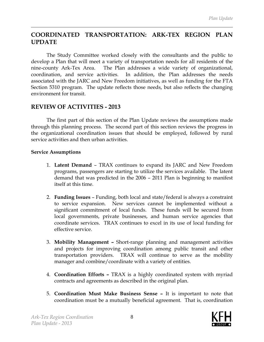## **COORDINATED TRANSPORTATION: ARK-TEX REGION PLAN UPDATE**

The Study Committee worked closely with the consultants and the public to develop a Plan that will meet a variety of transportation needs for all residents of the nine-county Ark-Tex Area. The Plan addresses a wide variety of organizational, coordination, and service activities. In addition, the Plan addresses the needs associated with the JARC and New Freedom initiatives, as well as funding for the FTA Section 5310 program. The update reflects those needs, but also reflects the changing environment for transit.

## **REVIEW OF ACTIVITIES - 2013**

The first part of this section of the Plan Update reviews the assumptions made through this planning process. The second part of this section reviews the progress in the organizational coordination issues that should be employed, followed by rural service activities and then urban activities.

#### **Service Assumptions**

- 1. **Latent Demand** TRAX continues to expand its JARC and New Freedom programs, passengers are starting to utilize the services available. The latent demand that was predicted in the 2006 – 2011 Plan is beginning to manifest itself at this time.
- 2. **Funding Issues** Funding, both local and state/federal is always a constraint to service expansion. New services cannot be implemented without a significant commitment of local funds. These funds will be secured from local governments, private businesses, and human service agencies that coordinate services. TRAX continues to excel in its use of local funding for effective service.
- 3. **Mobility Management –** Short-range planning and management activities and projects for improving coordination among public transit and other transportation providers. TRAX will continue to serve as the mobility manager and combine/coordinate with a variety of entities.
- 4. **Coordination Efforts –** TRAX is a highly coordinated system with myriad contracts and agreements as described in the original plan.
- 5. **Coordination Must Make Business Sense –** It is important to note that coordination must be a mutually beneficial agreement. That is, coordination

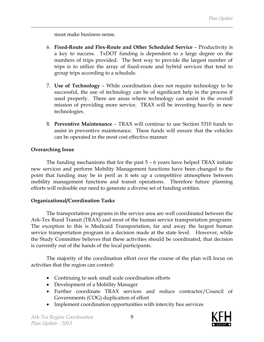must make business sense.

- 6. **Fixed-Route and Flex-Route and Other Scheduled Service** Productivity is a key to success. TxDOT funding is dependent to a large degree on the numbers of trips provided. The best way to provide the largest number of trips is to utilize the array of fixed-route and hybrid services that tend to group trips according to a schedule.
- 7. **Use of Technology** While coordination does not require technology to be successful, the use of technology can be of significant help in the process if used properly. There are areas where technology can assist in the overall mission of providing more service. TRAX will be investing heavily in new technologies.
- 8. **Preventive Maintenance** TRAX will continue to use Section 5310 funds to assist in preventive maintenance. These funds will ensure that the vehicles can be operated in the most cost effective manner.

## **Overarching Issue**

The funding mechanisms that for the past 5 – 6 years have helped TRAX initiate new services and perform Mobility Management functions have been changed to the point that funding may be in peril as it sets up a competitive atmosphere between mobility management functions and transit operations. Therefore future planning efforts will redouble our need to generate a diverse set of funding entities.

## **Organizational/Coordination Tasks**

The transportation programs in the service area are well coordinated between the Ark-Tex Rural Transit (TRAX) and most of the human service transportation programs. The exception to this is Medicaid Transportation, far and away the largest human service transportation program in a decision made at the state level. However, while the Study Committee believes that these activities should be coordinated, that decision is currently out of the hands of the local participants.

The majority of the coordination effort over the course of the plan will focus on activities that the region can control:

- Continuing to seek small scale coordination efforts
- Development of a Mobility Manager
- Further coordinate TRAX services and reduce contractor/Council of Governments (COG) duplication of effort
- Implement coordination opportunities with intercity bus services

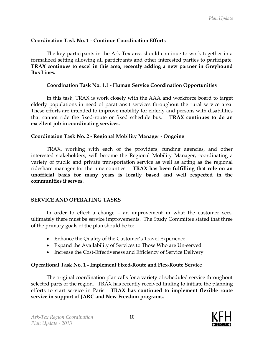#### **Coordination Task No. 1 - Continue Coordination Efforts**

The key participants in the Ark-Tex area should continue to work together in a formalized setting allowing all participants and other interested parties to participate. **TRAX continues to excel in this area, recently adding a new partner in Greyhound Bus Lines.**

#### **Coordination Task No. 1.1 - Human Service Coordination Opportunities**

In this task, TRAX is work closely with the AAA and workforce board to target elderly populations in need of paratransit services throughout the rural service area. These efforts are intended to improve mobility for elderly and persons with disabilities that cannot ride the fixed-route or fixed schedule bus. **TRAX continues to do an excellent job in coordinating services.**

#### **Coordination Task No. 2 - Regional Mobility Manager - Ongoing**

TRAX, working with each of the providers, funding agencies, and other interested stakeholders, will become the Regional Mobility Manager, coordinating a variety of public and private transportation service as well as acting as the regional rideshare manager for the nine counties. **TRAX has been fulfilling that role on an unofficial basis for many years is locally based and well respected in the communities it serves.** 

## **SERVICE AND OPERATING TASKS**

In order to effect a change – an improvement in what the customer sees, ultimately there must be service improvements. The Study Committee stated that three of the primary goals of the plan should be to:

- Enhance the Quality of the Customer's Travel Experience
- Expand the Availability of Services to Those Who are Un-served
- Increase the Cost-Effectiveness and Efficiency of Service Delivery

#### **Operational Task No. 1 - Implement Fixed-Route and Flex-Route Service**

The original coordination plan calls for a variety of scheduled service throughout selected parts of the region. TRAX has recently received finding to initiate the planning efforts to start service in Paris. **TRAX has continued to implement flexible route service in support of JARC and New Freedom programs.**

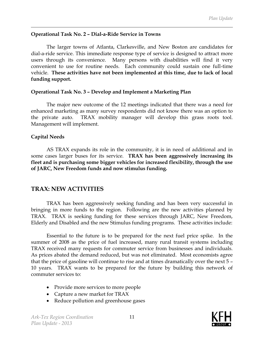#### **Operational Task No. 2 – Dial-a-Ride Service in Towns**

The larger towns of Atlanta, Clarkesville, and New Boston are candidates for dial-a-ride service. This immediate response type of service is designed to attract more users through its convenience. Many persons with disabilities will find it very convenient to use for routine needs. Each community could sustain one full-time vehicle. **These activities have not been implemented at this time, due to lack of local funding support.**

#### **Operational Task No. 3 – Develop and Implement a Marketing Plan**

The major new outcome of the 12 meetings indicated that there was a need for enhanced marketing as many survey respondents did not know there was an option to the private auto. TRAX mobility manager will develop this grass roots tool. Management will implement.

## **Capital Needs**

AS TRAX expands its role in the community, it is in need of additional and in some cases larger buses for its service. **TRAX has been aggressively increasing its fleet and is purchasing some bigger vehicles for increased flexibility, through the use of JARC, New Freedom funds and now stimulus funding.** 

## **TRAX: NEW ACTIVITIES**

TRAX has been aggressively seeking funding and has been very successful in bringing in more funds to the region. Following are the new activities planned by TRAX. TRAX is seeking funding for these services through JARC, New Freedom, Elderly and Disabled and the new Stimulus funding programs. These activities include:

Essential to the future is to be prepared for the next fuel price spike. In the summer of 2008 as the price of fuel increased, many rural transit systems including TRAX received many requests for commuter service from businesses and individuals. As prices abated the demand reduced, but was not eliminated. Most economists agree that the price of gasoline will continue to rise and at times dramatically over the next 5 – 10 years. TRAX wants to be prepared for the future by building this network of commuter services to:

- Provide more services to more people
- Capture a new market for TRAX
- Reduce pollution and greenhouse gases